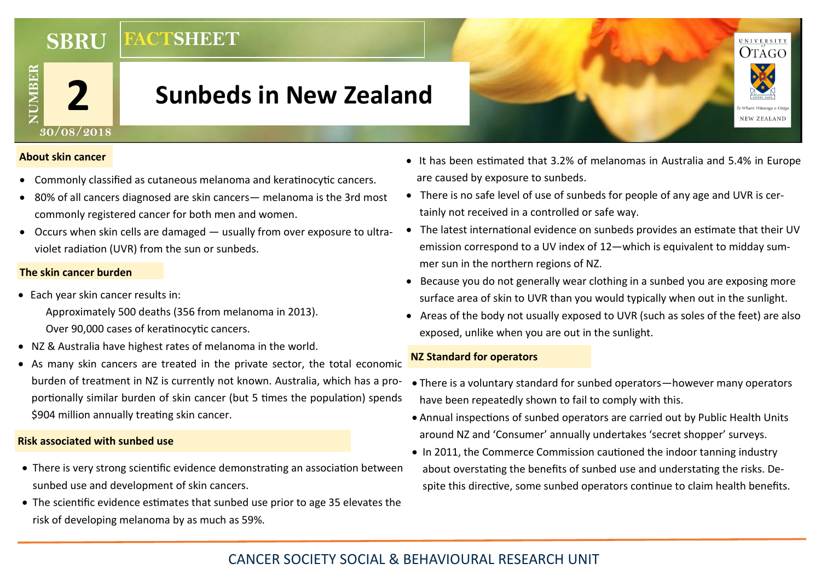**FACTSHEET SBRU**

# **Sunbeds in New Zealand**



#### **About skin cancer**

- Commonly classified as cutaneous melanoma and keratinocytic cancers.
- 80% of all cancers diagnosed are skin cancers— melanoma is the 3rd most commonly registered cancer for both men and women.
- Occurs when skin cells are damaged usually from over exposure to ultraviolet radiation (UVR) from the sun or sunbeds.

### **The skin cancer burden**

- Each year skin cancer results in: Approximately 500 deaths (356 from melanoma in 2013). Over 90,000 cases of keratinocytic cancers.
- NZ & Australia have highest rates of melanoma in the world.
- As many skin cancers are treated in the private sector, the total economic burden of treatment in NZ is currently not known. Australia, which has a proportionally similar burden of skin cancer (but 5 times the population) spends \$904 million annually treating skin cancer.

## **Risk associated with sunbed use**

- There is very strong scientific evidence demonstrating an association between sunbed use and development of skin cancers.
- The scientific evidence estimates that sunbed use prior to age 35 elevates the risk of developing melanoma by as much as 59%.
- It has been estimated that 3.2% of melanomas in Australia and 5.4% in Europe are caused by exposure to sunbeds.
- There is no safe level of use of sunbeds for people of any age and UVR is certainly not received in a controlled or safe way.
- The latest international evidence on sunbeds provides an estimate that their UV emission correspond to a UV index of 12—which is equivalent to midday summer sun in the northern regions of NZ.
- Because you do not generally wear clothing in a sunbed you are exposing more surface area of skin to UVR than you would typically when out in the sunlight.
- Areas of the body not usually exposed to UVR (such as soles of the feet) are also exposed, unlike when you are out in the sunlight.

#### **NZ Standard for operators**

- There is a voluntary standard for sunbed operators—however many operators have been repeatedly shown to fail to comply with this.
- Annual inspections of sunbed operators are carried out by Public Health Units around NZ and 'Consumer' annually undertakes 'secret shopper' surveys.
- In 2011, the Commerce Commission cautioned the indoor tanning industry about overstating the benefits of sunbed use and understating the risks. Despite this directive, some sunbed operators continue to claim health benefits.

# CANCER SOCIETY SOCIAL & BEHAVIOURAL RESEARCH UNIT